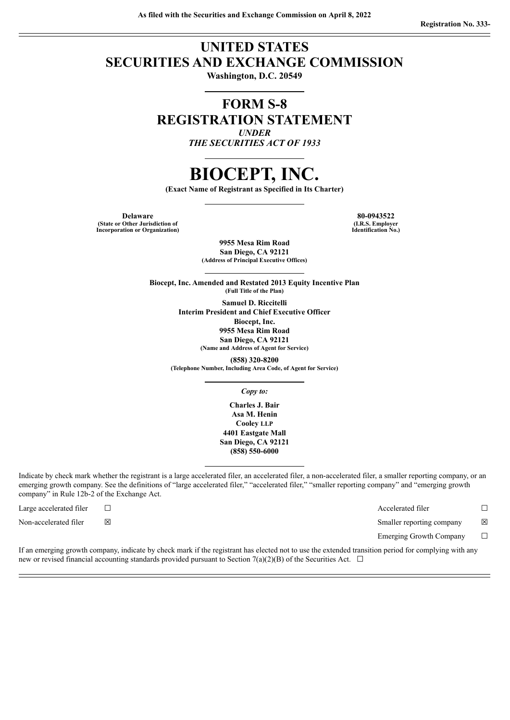### **UNITED STATES SECURITIES AND EXCHANGE COMMISSION**

**Washington, D.C. 20549**

### **FORM S-8 REGISTRATION STATEMENT** *UNDER*

*THE SECURITIES ACT OF 1933*

## **BIOCEPT, INC.**

**(Exact Name of Registrant as Specified in Its Charter)**

**Delaware 80-0943522 (State or Other Jurisdiction of Incorporation or Organization)**

**(I.R.S. Employer Identification No.)**

**9955 Mesa Rim Road San Diego, CA 92121 (Address of Principal Executive Offices)**

**Biocept, Inc. Amended and Restated 2013 Equity Incentive Plan (Full Title of the Plan)**

> **Samuel D. Riccitelli Interim President and Chief Executive Officer Biocept, Inc. 9955 Mesa Rim Road San Diego, CA 92121 (Name and Address of Agent for Service)**

**(858) 320-8200 (Telephone Number, Including Area Code, of Agent for Service)**

*Copy to:*

**Charles J. Bair Asa M. Henin Cooley LLP 4401 Eastgate Mall San Diego, CA 92121 (858) 550-6000**

Indicate by check mark whether the registrant is a large accelerated filer, an accelerated filer, a non-accelerated filer, a smaller reporting company, or an emerging growth company. See the definitions of "large accelerated filer," "accelerated filer," "smaller reporting company" and "emerging growth company" in Rule 12b-2 of the Exchange Act.

Large accelerated filer ☐ Accelerated filer ☐

Non-accelerated filer ⊠ <br>
⊠ Smaller reporting company ⊠

Emerging Growth Company  $\Box$ 

If an emerging growth company, indicate by check mark if the registrant has elected not to use the extended transition period for complying with any new or revised financial accounting standards provided pursuant to Section 7(a)(2)(B) of the Securities Act.  $\Box$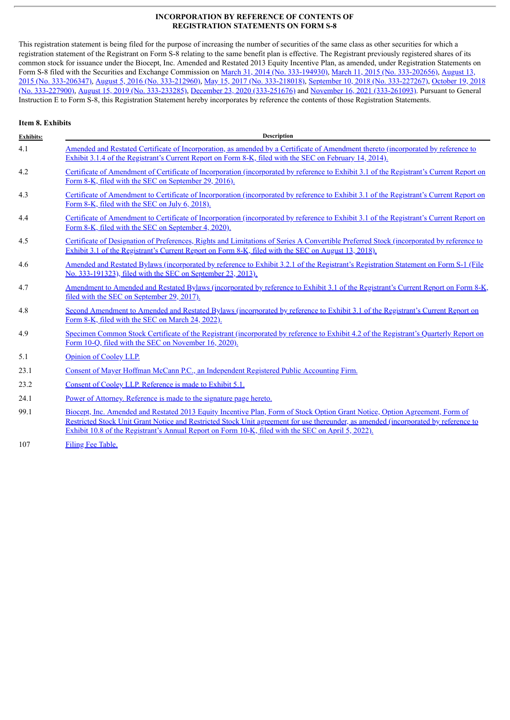#### **INCORPORATION BY REFERENCE OF CONTENTS OF REGISTRATION STATEMENTS ON FORM S-8**

This registration statement is being filed for the purpose of increasing the number of securities of the same class as other securities for which a registration statement of the Registrant on Form S-8 relating to the same benefit plan is effective. The Registrant previously registered shares of its common stock for issuance under the Biocept, Inc. Amended and Restated 2013 Equity Incentive Plan, as amended, under Registration Statements on Form S-8 filed with the Securities and Exchange Commission on March 31, 2014 (No. [333-194930\)](http://www.sec.gov/Archives/edgar/data/1044378/000119312514124197/d693696ds8.htm), March 11, 2015 (No. [333-202656\),](http://www.sec.gov/Archives/edgar/data/1044378/000156459015007270/bioc-s8_20150812.htm) August 13, 2015 (No. 333-206347), August 5, 2016 (No. [333-212960\),](http://www.sec.gov/Archives/edgar/data/1044378/000156459016023022/bioc-s8_20160805.htm) May 15, 2017 (No. [333-218018\),](http://www.sec.gov/Archives/edgar/data/1044378/000156459017011097/bioc-s8.htm) September 10, 2018 (No. [333-227267\),](http://www.sec.gov/Archives/edgar/data/1044378/000156459018022886/bioc-s8.htm) October 19, 2018 (No. 333-227900), August 15, 2019 (No. [333-233285\)](http://www.sec.gov/Archives/edgar/data/1044378/000156459019032201/bioc-s8.htm), December 23, 2020 [\(333-251676\)](http://www.sec.gov/Archives/edgar/data/1044378/000156459020058266/bioc-s8.htm) and November 16, 2021 [\(333-261093\).](http://www.sec.gov/Archives/edgar/data/1044378/000156459018024528/bioc-s8.htm) Pursuant to General Instruction E to Form S-8, this Registration Statement hereby incorporates by reference the contents of those Registration Statements.

#### **Item 8. Exhibits**

| <b>Exhibits:</b> | <b>Description</b>                                                                                                                                                                                                                                                                                                                                                       |  |  |  |  |  |
|------------------|--------------------------------------------------------------------------------------------------------------------------------------------------------------------------------------------------------------------------------------------------------------------------------------------------------------------------------------------------------------------------|--|--|--|--|--|
| 4.1              | Amended and Restated Certificate of Incorporation, as amended by a Certificate of Amendment thereto (incorporated by reference to<br>Exhibit 3.1.4 of the Registrant's Current Report on Form 8-K, filed with the SEC on February 14, 2014).                                                                                                                             |  |  |  |  |  |
| 4.2              | Certificate of Amendment of Certificate of Incorporation (incorporated by reference to Exhibit 3.1 of the Registrant's Current Report on<br>Form 8-K, filed with the SEC on September 29, 2016).                                                                                                                                                                         |  |  |  |  |  |
| 4.3              | Certificate of Amendment to Certificate of Incorporation (incorporated by reference to Exhibit 3.1 of the Registrant's Current Report on<br>Form 8-K, filed with the SEC on July 6, 2018).                                                                                                                                                                               |  |  |  |  |  |
| 4.4              | Certificate of Amendment to Certificate of Incorporation (incorporated by reference to Exhibit 3.1 of the Registrant's Current Report on<br>Form 8-K, filed with the SEC on September 4, 2020).                                                                                                                                                                          |  |  |  |  |  |
| 4.5              | Certificate of Designation of Preferences, Rights and Limitations of Series A Convertible Preferred Stock (incorporated by reference to<br>Exhibit 3.1 of the Registrant's Current Report on Form 8-K, filed with the SEC on August 13, 2018).                                                                                                                           |  |  |  |  |  |
| 4.6              | Amended and Restated Bylaws (incorporated by reference to Exhibit 3.2.1 of the Registrant's Registration Statement on Form S-1 (File<br>No. 333-191323), filed with the SEC on September 23, 2013).                                                                                                                                                                      |  |  |  |  |  |
| 4.7              | <u>Amendment to Amended and Restated Bylaws (incorporated by reference to Exhibit 3.1 of the Registrant's Current Report on Form 8-K,</u><br>filed with the SEC on September 29, 2017).                                                                                                                                                                                  |  |  |  |  |  |
| 4.8              | Second Amendment to Amended and Restated Bylaws (incorporated by reference to Exhibit 3.1 of the Registrant's Current Report on<br>Form 8-K, filed with the SEC on March 24, 2022).                                                                                                                                                                                      |  |  |  |  |  |
| 4.9              | Specimen Common Stock Certificate of the Registrant (incorporated by reference to Exhibit 4.2 of the Registrant's Quarterly Report on<br>Form 10-O, filed with the SEC on November 16, 2020).                                                                                                                                                                            |  |  |  |  |  |
| 5.1              | <b>Opinion of Cooley LLP.</b>                                                                                                                                                                                                                                                                                                                                            |  |  |  |  |  |
| 23.1             | Consent of Mayer Hoffman McCann P.C., an Independent Registered Public Accounting Firm.                                                                                                                                                                                                                                                                                  |  |  |  |  |  |
| 23.2             | Consent of Cooley LLP. Reference is made to Exhibit 5.1.                                                                                                                                                                                                                                                                                                                 |  |  |  |  |  |
| 24.1             | Power of Attorney. Reference is made to the signature page hereto.                                                                                                                                                                                                                                                                                                       |  |  |  |  |  |
| 99.1             | Biocept, Inc. Amended and Restated 2013 Equity Incentive Plan, Form of Stock Option Grant Notice, Option Agreement, Form of<br>Restricted Stock Unit Grant Notice and Restricted Stock Unit agreement for use thereunder, as amended (incorporated by reference to<br>Exhibit 10.8 of the Registrant's Annual Report on Form 10-K, filed with the SEC on April 5, 2022). |  |  |  |  |  |

107 Filing Fee [Table.](#page-6-0)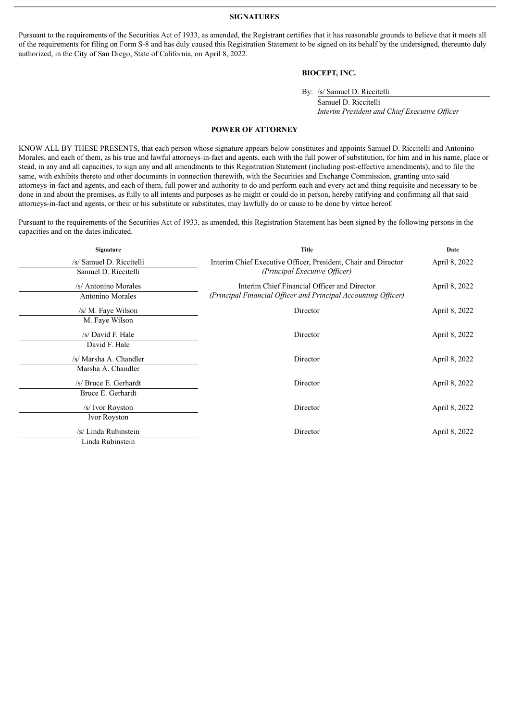#### **SIGNATURES**

<span id="page-2-0"></span>Pursuant to the requirements of the Securities Act of 1933, as amended, the Registrant certifies that it has reasonable grounds to believe that it meets all of the requirements for filing on Form S-8 and has duly caused this Registration Statement to be signed on its behalf by the undersigned, thereunto duly authorized, in the City of San Diego, State of California, on April 8, 2022.

#### **BIOCEPT, INC.**

By: /s/ Samuel D. Riccitelli

Samuel D. Riccitelli *Interim President and Chief Executive Of icer*

#### **POWER OF ATTORNEY**

KNOW ALL BY THESE PRESENTS, that each person whose signature appears below constitutes and appoints Samuel D. Riccitelli and Antonino Morales, and each of them, as his true and lawful attorneys-in-fact and agents, each with the full power of substitution, for him and in his name, place or stead, in any and all capacities, to sign any and all amendments to this Registration Statement (including post-effective amendments), and to file the same, with exhibits thereto and other documents in connection therewith, with the Securities and Exchange Commission, granting unto said attorneys-in-fact and agents, and each of them, full power and authority to do and perform each and every act and thing requisite and necessary to be done in and about the premises, as fully to all intents and purposes as he might or could do in person, hereby ratifying and confirming all that said attorneys-in-fact and agents, or their or his substitute or substitutes, may lawfully do or cause to be done by virtue hereof.

Pursuant to the requirements of the Securities Act of 1933, as amended, this Registration Statement has been signed by the following persons in the capacities and on the dates indicated.

| Signature                | <b>Title</b>                                                   | Date          |
|--------------------------|----------------------------------------------------------------|---------------|
| /s/ Samuel D. Riccitelli | Interim Chief Executive Officer, President, Chair and Director | April 8, 2022 |
| Samuel D. Riccitelli     | (Principal Executive Officer)                                  |               |
| /s/ Antonino Morales     | Interim Chief Financial Officer and Director                   | April 8, 2022 |
| Antonino Morales         | (Principal Financial Officer and Principal Accounting Officer) |               |
| /s/ M. Faye Wilson       | Director                                                       | April 8, 2022 |
| M. Faye Wilson           |                                                                |               |
| /s/ David F. Hale        | Director                                                       | April 8, 2022 |
| David F. Hale            |                                                                |               |
| /s/ Marsha A. Chandler   | Director                                                       | April 8, 2022 |
| Marsha A. Chandler       |                                                                |               |
| /s/ Bruce E. Gerhardt    | Director                                                       | April 8, 2022 |
| Bruce E. Gerhardt        |                                                                |               |
| /s/ Ivor Royston         | Director                                                       | April 8, 2022 |
| Ivor Royston             |                                                                |               |
| /s/ Linda Rubinstein     | Director                                                       | April 8, 2022 |
| Linda Rubinstein         |                                                                |               |
|                          |                                                                |               |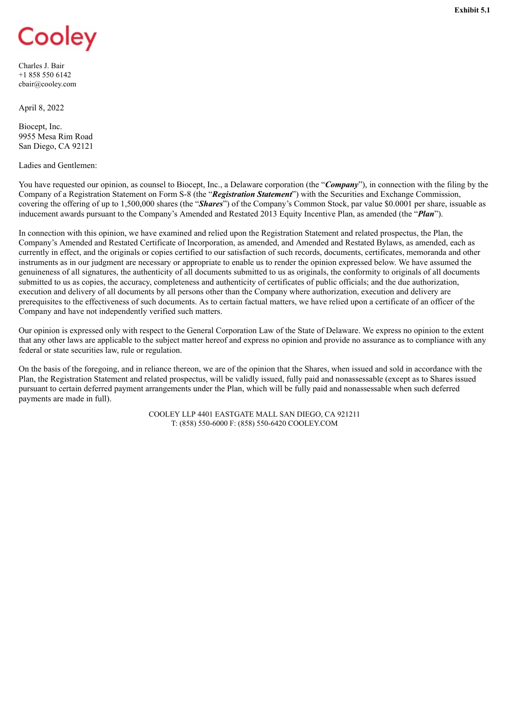# <span id="page-3-0"></span>Cooley

Charles J. Bair +1 858 550 6142 cbair@cooley.com

April 8, 2022

Biocept, Inc. 9955 Mesa Rim Road San Diego, CA 92121

Ladies and Gentlemen:

You have requested our opinion, as counsel to Biocept, Inc., a Delaware corporation (the "**Company**"), in connection with the filing by the Company of a Registration Statement on Form S-8 (the "*Registration Statement*") with the Securities and Exchange Commission, covering the offering of up to 1,500,000 shares (the "*Shares*") of the Company's Common Stock, par value \$0.0001 per share, issuable as inducement awards pursuant to the Company's Amended and Restated 2013 Equity Incentive Plan, as amended (the "*Plan*").

In connection with this opinion, we have examined and relied upon the Registration Statement and related prospectus, the Plan, the Company's Amended and Restated Certificate of Incorporation, as amended, and Amended and Restated Bylaws, as amended, each as currently in effect, and the originals or copies certified to our satisfaction of such records, documents, certificates, memoranda and other instruments as in our judgment are necessary or appropriate to enable us to render the opinion expressed below. We have assumed the genuineness of all signatures, the authenticity of all documents submitted to us as originals, the conformity to originals of all documents submitted to us as copies, the accuracy, completeness and authenticity of certificates of public officials; and the due authorization, execution and delivery of all documents by all persons other than the Company where authorization, execution and delivery are prerequisites to the effectiveness of such documents. As to certain factual matters, we have relied upon a certificate of an officer of the Company and have not independently verified such matters.

Our opinion is expressed only with respect to the General Corporation Law of the State of Delaware. We express no opinion to the extent that any other laws are applicable to the subject matter hereof and express no opinion and provide no assurance as to compliance with any federal or state securities law, rule or regulation.

On the basis of the foregoing, and in reliance thereon, we are of the opinion that the Shares, when issued and sold in accordance with the Plan, the Registration Statement and related prospectus, will be validly issued, fully paid and nonassessable (except as to Shares issued pursuant to certain deferred payment arrangements under the Plan, which will be fully paid and nonassessable when such deferred payments are made in full).

> COOLEY LLP 4401 EASTGATE MALL SAN DIEGO, CA 921211 T: (858) 550-6000 F: (858) 550-6420 COOLEY.COM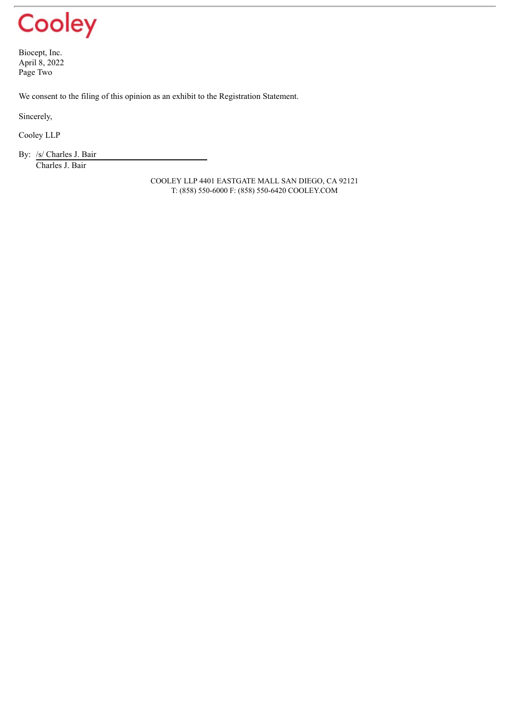# Cooley

Biocept, Inc. April 8, 2022 Page Two

We consent to the filing of this opinion as an exhibit to the Registration Statement.

Sincerely,

Cooley LLP

By: /s/ Charles J. Bair Charles J. Bair

> COOLEY LLP 4401 EASTGATE MALL SAN DIEGO, CA 92121 T: (858) 550-6000 F: (858) 550-6420 COOLEY.COM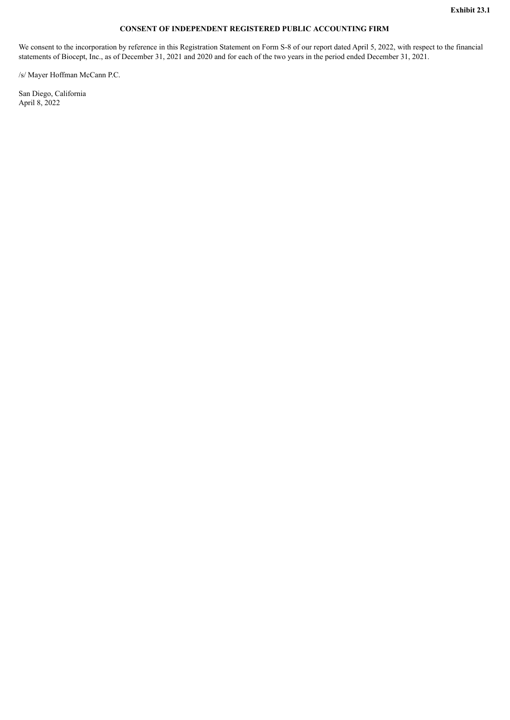#### **CONSENT OF INDEPENDENT REGISTERED PUBLIC ACCOUNTING FIRM**

<span id="page-5-0"></span>We consent to the incorporation by reference in this Registration Statement on Form S-8 of our report dated April 5, 2022, with respect to the financial statements of Biocept, Inc., as of December 31, 2021 and 2020 and for each of the two years in the period ended December 31, 2021.

/s/ Mayer Hoffman McCann P.C.

San Diego, California April 8, 2022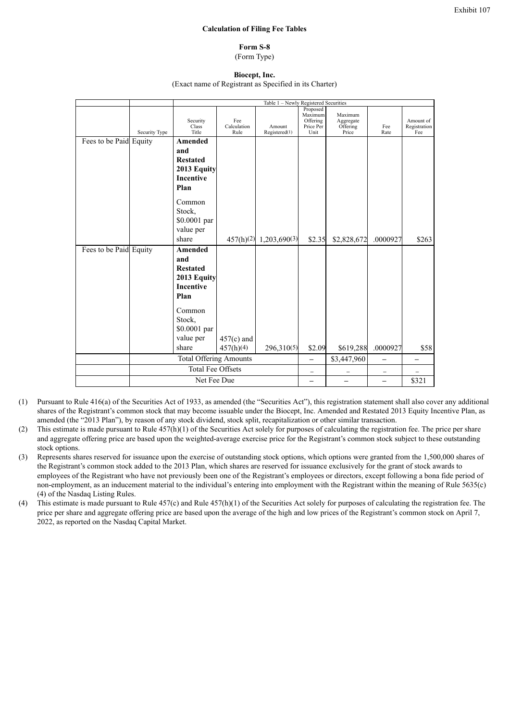#### **Calculation of Filing Fee Tables**

**Form S-8** (Form Type)

**Biocept, Inc.**

(Exact name of Registrant as Specified in its Charter)

<span id="page-6-0"></span>

|                        |               | Table 1 - Newly Registered Securities   |                            |                         |                                                      |                                           |                          |                                  |  |
|------------------------|---------------|-----------------------------------------|----------------------------|-------------------------|------------------------------------------------------|-------------------------------------------|--------------------------|----------------------------------|--|
|                        | Security Type | Security<br>Class <sup>7</sup><br>Title | Fee<br>Calculation<br>Rule | Amount<br>Registered(1) | Proposed<br>Maximum<br>Offering<br>Price Per<br>Unit | Maximum<br>Aggregate<br>Offering<br>Price | Fee<br>Rate              | Amount of<br>Registration<br>Fee |  |
| Fees to be Paid Equity |               | <b>Amended</b>                          |                            |                         |                                                      |                                           |                          |                                  |  |
|                        |               | and                                     |                            |                         |                                                      |                                           |                          |                                  |  |
|                        |               | <b>Restated</b>                         |                            |                         |                                                      |                                           |                          |                                  |  |
|                        |               | 2013 Equity                             |                            |                         |                                                      |                                           |                          |                                  |  |
|                        |               | <b>Incentive</b>                        |                            |                         |                                                      |                                           |                          |                                  |  |
|                        |               | Plan                                    |                            |                         |                                                      |                                           |                          |                                  |  |
|                        |               |                                         |                            |                         |                                                      |                                           |                          |                                  |  |
|                        |               | Common                                  |                            |                         |                                                      |                                           |                          |                                  |  |
|                        |               | Stock,                                  |                            |                         |                                                      |                                           |                          |                                  |  |
|                        |               | \$0.0001 par                            |                            |                         |                                                      |                                           |                          |                                  |  |
|                        |               | value per                               |                            |                         |                                                      |                                           |                          |                                  |  |
|                        |               | share                                   | 457(h)(2)                  | 1,203,690(3)            | \$2.35                                               | \$2,828,672                               | .0000927                 | \$263                            |  |
| Fees to be Paid Equity |               | Amended                                 |                            |                         |                                                      |                                           |                          |                                  |  |
|                        |               | and                                     |                            |                         |                                                      |                                           |                          |                                  |  |
|                        |               | <b>Restated</b>                         |                            |                         |                                                      |                                           |                          |                                  |  |
|                        |               | 2013 Equity                             |                            |                         |                                                      |                                           |                          |                                  |  |
|                        |               | Incentive                               |                            |                         |                                                      |                                           |                          |                                  |  |
|                        |               | Plan                                    |                            |                         |                                                      |                                           |                          |                                  |  |
|                        |               |                                         |                            |                         |                                                      |                                           |                          |                                  |  |
|                        |               | Common                                  |                            |                         |                                                      |                                           |                          |                                  |  |
|                        |               | Stock,                                  |                            |                         |                                                      |                                           |                          |                                  |  |
|                        |               | \$0.0001 par                            |                            |                         |                                                      |                                           |                          |                                  |  |
|                        |               | value per                               | $457(c)$ and               |                         |                                                      |                                           |                          |                                  |  |
|                        |               | share                                   | 457(h)(4)                  | 296,310(5)              | \$2.09                                               | \$619,288                                 | .0000927                 | \$58                             |  |
|                        |               | <b>Total Offering Amounts</b>           |                            |                         | $\equiv$                                             | \$3,447,960                               | $\overline{\phantom{0}}$ |                                  |  |
|                        |               | <b>Total Fee Offsets</b>                |                            |                         |                                                      |                                           | $\qquad \qquad -$        |                                  |  |
|                        | Net Fee Due   |                                         |                            |                         |                                                      |                                           |                          | \$321                            |  |
|                        |               |                                         |                            |                         |                                                      |                                           |                          |                                  |  |

- (1) Pursuant to Rule 416(a) of the Securities Act of 1933, as amended (the "Securities Act"), this registration statement shall also cover any additional shares of the Registrant's common stock that may become issuable under the Biocept, Inc. Amended and Restated 2013 Equity Incentive Plan, as amended (the "2013 Plan"), by reason of any stock dividend, stock split, recapitalization or other similar transaction.
- (2) This estimate is made pursuant to Rule  $457(h)(1)$  of the Securities Act solely for purposes of calculating the registration fee. The price per share and aggregate offering price are based upon the weighted-average exercise price for the Registrant's common stock subject to these outstanding stock options.
- (3) Represents shares reserved for issuance upon the exercise of outstanding stock options, which options were granted from the 1,500,000 shares of the Registrant's common stock added to the 2013 Plan, which shares are reserved for issuance exclusively for the grant of stock awards to employees of the Registrant who have not previously been one of the Registrant's employees or directors, except following a bona fide period of non-employment, as an inducement material to the individual's entering into employment with the Registrant within the meaning of Rule 5635(c) (4) of the Nasdaq Listing Rules.
- (4) This estimate is made pursuant to Rule 457(c) and Rule 457(h)(1) of the Securities Act solely for purposes of calculating the registration fee. The price per share and aggregate offering price are based upon the average of the high and low prices of the Registrant's common stock on April 7, 2022, as reported on the Nasdaq Capital Market.